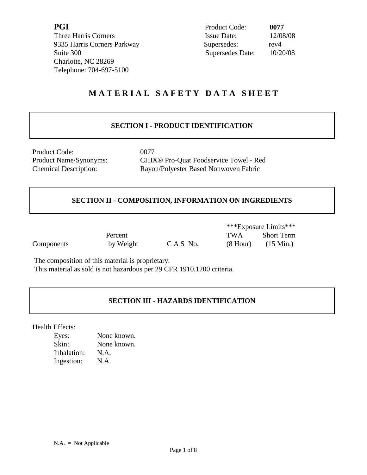Three Harris Corners 9335 Harris Corners Parkway Supersedes: rev Suite 300 Charlotte, NC 28269 Telephone: 704-697-5100

| PGI                         | Product Code:    | 0077     |
|-----------------------------|------------------|----------|
| Three Harris Corners        | Issue Date:      | 12/08/08 |
| 9335 Harris Corners Parkway | Supersedes:      | rev4     |
| Suite 300                   | Supersedes Date: | 10/20/08 |

# **M A T E R I A L S A F E T Y D A T A S H E E T**

## **SECTION I - PRODUCT IDENTIFICATION**

Product Code: 0077

Product Name/Synonyms: CHIX® Pro-Quat Foodservice Towel - Red Chemical Description: Rayon/Polyester Based Nonwoven Fabric

## **SECTION II - COMPOSITION, INFORMATION ON INGREDIENTS**

 \*\*\*Exposure Limits\*\*\* Percent TWA Short Term Components by Weight C A S No. (8 Hour) (15 Min.)

The composition of this material is proprietary.

This material as sold is not hazardous per 29 CFR 1910.1200 criteria.

## **SECTION III - HAZARDS IDENTIFICATION**

Health Effects:

| Eyes:       | None known. |
|-------------|-------------|
| Skin:       | None known. |
| Inhalation: | N.A.        |
| Ingestion:  | N.A.        |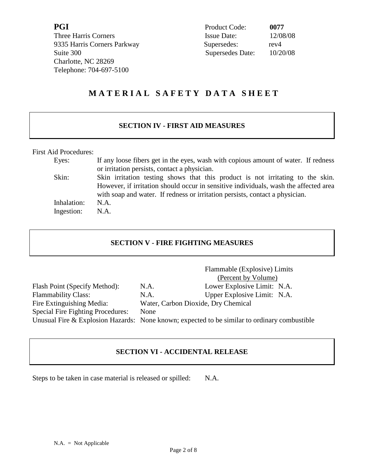**PGI** Product Code: **0077**  Three Harris Corners 9335 Harris Corners Parkway Supersedes: 8 Suite 300 Charlotte, NC 28269 Telephone: 704-697-5100

| Product Code:      | 0077     |
|--------------------|----------|
| <b>Issue Date:</b> | 12/08/08 |
| Supersedes:        | rev4     |
| Supersedes Date:   | 10/20/08 |

# **M A T E R I A L S A F E T Y D A T A S H E E T**

## **SECTION IV - FIRST AID MEASURES**

First Aid Procedures:

| Eyes:       | If any loose fibers get in the eyes, wash with copious amount of water. If redness   |
|-------------|--------------------------------------------------------------------------------------|
|             | or irritation persists, contact a physician.                                         |
| Skin:       | Skin irritation testing shows that this product is not irritating to the skin.       |
|             | However, if irritation should occur in sensitive individuals, wash the affected area |
|             | with soap and water. If redness or irritation persists, contact a physician.         |
| Inhalation: | $NA$ .                                                                               |
| Ingestion:  | N.A.                                                                                 |

## **SECTION V - FIRE FIGHTING MEASURES**

|                                          |                                     | Flammable (Explosive) Limits                                                                 |
|------------------------------------------|-------------------------------------|----------------------------------------------------------------------------------------------|
|                                          |                                     | (Percent by Volume)                                                                          |
| Flash Point (Specify Method):            | N.A.                                | Lower Explosive Limit: N.A.                                                                  |
| <b>Flammability Class:</b>               | N.A.                                | Upper Explosive Limit: N.A.                                                                  |
| Fire Extinguishing Media:                | Water, Carbon Dioxide, Dry Chemical |                                                                                              |
| <b>Special Fire Fighting Procedures:</b> | None                                |                                                                                              |
|                                          |                                     | Unusual Fire & Explosion Hazards: None known; expected to be similar to ordinary combustible |

## **SECTION VI - ACCIDENTAL RELEASE**

Steps to be taken in case material is released or spilled: N.A.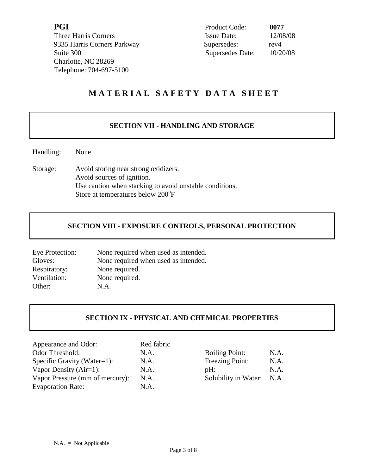**PGI** Product Code: **0077**  9335 Harris Corners Parkway Supersedes: rev4 Charlotte, NC 28269 Telephone: 704-697-5100

Three Harris Corners Issue Date: 12/08/08 Suite 300 Supersedes Date: 10/20/08

# **M A T E R I A L S A F E T Y D A T A S H E E T**

## **SECTION VII - HANDLING AND STORAGE**

Handling: None

Storage: Avoid storing near strong oxidizers. Avoid sources of ignition. Use caution when stacking to avoid unstable conditions. Store at temperatures below 200°F

## **SECTION VIII - EXPOSURE CONTROLS, PERSONAL PROTECTION**

| Eye Protection: | None required when used as intended. |
|-----------------|--------------------------------------|
| Gloves:         | None required when used as intended. |
| Respiratory:    | None required.                       |
| Ventilation:    | None required.                       |
| Other:          | N.A.                                 |

## **SECTION IX - PHYSICAL AND CHEMICAL PROPERTIES**

| Appearance and Odor:            | Red fabric |                       |      |
|---------------------------------|------------|-----------------------|------|
| Odor Threshold:                 | N.A.       | <b>Boiling Point:</b> | N.A. |
| Specific Gravity (Water=1):     | N.A.       | Freezing Point:       | N.A. |
| Vapor Density $(Air=1)$ :       | N.A.       | pH:                   | N.A. |
| Vapor Pressure (mm of mercury): | N.A.       | Solubility in Water:  | N.A  |
| <b>Evaporation Rate:</b>        | N.A.       |                       |      |

| <b>Boiling Point:</b> | N.A. |
|-----------------------|------|
| Freezing Point:       | N.A. |
| pH:                   | N.A. |
| Solubility in Water:  | N.A  |
|                       |      |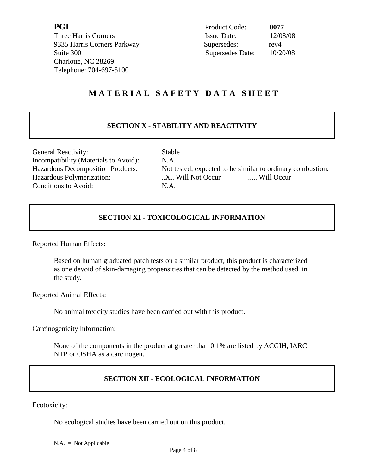Three Harris Corners 9335 Harris Corners Parkway Supersedes: 8 Charlotte, NC 28269 Telephone: 704-697-5100

| PGI                         | Product Code:    | 0077     |
|-----------------------------|------------------|----------|
| Three Harris Corners        | Issue Date:      | 12/08/08 |
| 9335 Harris Corners Parkway | Supersedes:      | rev4     |
| Suite 300                   | Supersedes Date: | 10/20/08 |

# **M A T E R I A L S A F E T Y D A T A S H E E T**

## **SECTION X - STABILITY AND REACTIVITY**

General Reactivity: Stable Incompatibility (Materials to Avoid): N.A. Conditions to Avoid: N.A.

Hazardous Decomposition Products: Not tested; expected to be similar to ordinary combustion. Hazardous Polymerization: ....... Will Not Occur ...... Will Occur

## **SECTION XI - TOXICOLOGICAL INFORMATION**

Reported Human Effects:

Based on human graduated patch tests on a similar product, this product is characterized as one devoid of skin-damaging propensities that can be detected by the method used in the study.

Reported Animal Effects:

No animal toxicity studies have been carried out with this product.

Carcinogenicity Information:

None of the components in the product at greater than 0.1% are listed by ACGIH, IARC, NTP or OSHA as a carcinogen.

## **SECTION XII - ECOLOGICAL INFORMATION**

Ecotoxicity:

No ecological studies have been carried out on this product.

 $N.A. = Not Applicable$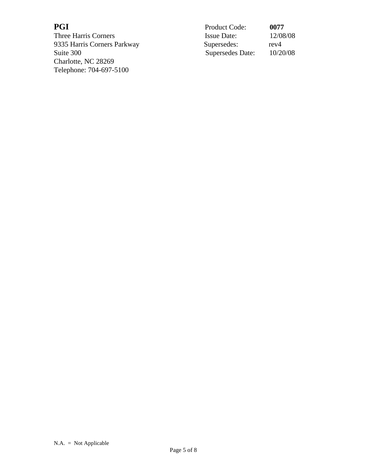**PGI**<br>Three Harris Corners<br>9335 Harris Corners Parkway S 9335 Harris Corners Parkway Suite 300 Charlotte, NC 28269 Telephone: 704-697-5100

| PGI                         | <b>Product Code:</b> | 0077     |
|-----------------------------|----------------------|----------|
| Three Harris Corners        | <b>Issue Date:</b>   | 12/08/08 |
| 9335 Harris Corners Parkway | Supersedes:          | rev4     |
| Suite 300                   | Supersedes Date:     | 10/20/08 |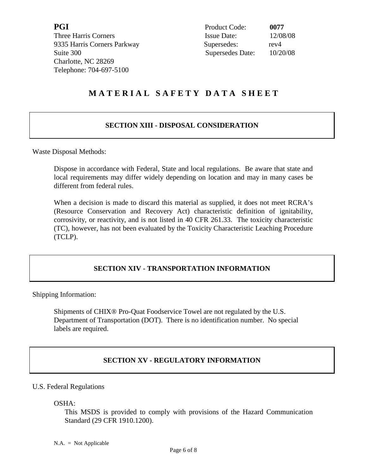**PGI** Product Code: **0077**  9335 Harris Corners Parkway Supersedes: rev4 Charlotte, NC 28269 Telephone: 704-697-5100

Three Harris Corners **Issue Date:** 12/08/08 Suite 300 Supersedes Date: 10/20/08

# **M A T E R I A L S A F E T Y D A T A S H E E T**

## **SECTION XIII - DISPOSAL CONSIDERATION**

Waste Disposal Methods:

Dispose in accordance with Federal, State and local regulations. Be aware that state and local requirements may differ widely depending on location and may in many cases be different from federal rules.

When a decision is made to discard this material as supplied, it does not meet RCRA's (Resource Conservation and Recovery Act) characteristic definition of ignitability, corrosivity, or reactivity, and is not listed in 40 CFR 261.33. The toxicity characteristic (TC), however, has not been evaluated by the Toxicity Characteristic Leaching Procedure (TCLP).

## **SECTION XIV - TRANSPORTATION INFORMATION**

Shipping Information:

Shipments of CHIX® Pro-Quat Foodservice Towel are not regulated by the U.S. Department of Transportation (DOT). There is no identification number. No special labels are required.

## **SECTION XV - REGULATORY INFORMATION**

#### U.S. Federal Regulations

OSHA:

 This MSDS is provided to comply with provisions of the Hazard Communication Standard (29 CFR 1910.1200).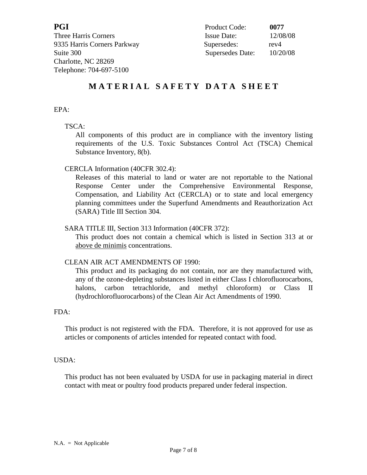Three Harris Corners 9335 Harris Corners Parkway Suite 300 Charlotte, NC 28269 Telephone: 704-697-5100

| PGI                         | Product Code:      | 0077     |
|-----------------------------|--------------------|----------|
| Three Harris Corners        | <b>Issue Date:</b> | 12/08/08 |
| 9335 Harris Corners Parkway | Supersedes:        | rev4     |
| Suite 300                   | Supersedes Date:   | 10/20/08 |

# **M A T E R I A L S A F E T Y D A T A S H E E T**

#### EPA:

## TSCA:

 All components of this product are in compliance with the inventory listing requirements of the U.S. Toxic Substances Control Act (TSCA) Chemical Substance Inventory, 8(b).

## CERCLA Information (40CFR 302.4):

 Releases of this material to land or water are not reportable to the National Response Center under the Comprehensive Environmental Response, Compensation, and Liability Act (CERCLA) or to state and local emergency planning committees under the Superfund Amendments and Reauthorization Act (SARA) Title III Section 304.

#### SARA TITLE III, Section 313 Information (40CFR 372):

This product does not contain a chemical which is listed in Section 313 at or above de minimis concentrations.

## CLEAN AIR ACT AMENDMENTS OF 1990:

This product and its packaging do not contain, nor are they manufactured with, any of the ozone-depleting substances listed in either Class I chlorofluorocarbons, halons, carbon tetrachloride, and methyl chloroform) or Class II (hydrochlorofluorocarbons) of the Clean Air Act Amendments of 1990.

#### FDA:

This product is not registered with the FDA. Therefore, it is not approved for use as articles or components of articles intended for repeated contact with food.

#### USDA:

This product has not been evaluated by USDA for use in packaging material in direct contact with meat or poultry food products prepared under federal inspection.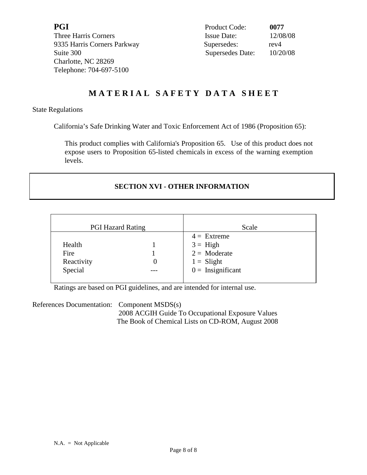**PGI** Product Code: **0077**  9335 Harris Corners Parkway Supersedes: rev4 Charlotte, NC 28269 Telephone: 704-697-5100

Three Harris Corners **Issue Date:** 12/08/08 Suite 300 Supersedes Date: 10/20/08

# **M A T E R I A L S A F E T Y D A T A S H E E T**

#### State Regulations

California's Safe Drinking Water and Toxic Enforcement Act of 1986 (Proposition 65):

This product complies with California's Proposition 65. Use of this product does not expose users to Proposition 65-listed chemicals in excess of the warning exemption levels.

## **SECTION XVI - OTHER INFORMATION**

| <b>PGI Hazard Rating</b> | Scale               |
|--------------------------|---------------------|
|                          | $4 =$ Extreme       |
| Health                   | $3 =$ High          |
| Fire                     | $2 = \text{Modern}$ |
| Reactivity               | $1 =$ Slight        |
| Special                  | $0 =$ Insignificant |
|                          |                     |

Ratings are based on PGI guidelines, and are intended for internal use.

References Documentation: Component MSDS(s)

 2008 ACGIH Guide To Occupational Exposure Values The Book of Chemical Lists on CD-ROM, August 2008